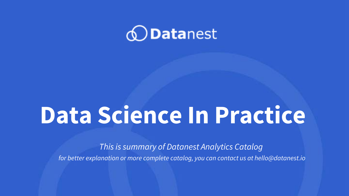

# **Data Science In Practice**

*This is summary of Datanest Analytics Catalog*

*for better explanation or more complete catalog, you can contact us at hello@datanest.io*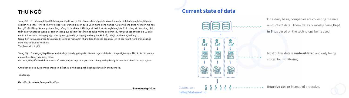### **Current state of data**





On a daily basis, companies are collecting massive amounts of data. These data are mostly being **kept in Silos** based on the technology being used.

Most of this data is **underutilized** and only being stored for monitoring.

**Reactive action** instead of proactive. *Contact us :*



**hello@datanest.io**

# **THƯ NGỎ**

Trang điện tử Hướng nghiệp 4.0 (huongnghiep40.vn) ra đời với mục đích góp phần vào công cuộc định hướng nghề nghiệp cho các bạn học sinh THPT và sinh viên Việt Nam, trong bối cảnh cuộc Cách mạng công nghiệp 4.0 đã và đang bùng nổ mạnh mẽ hơn bao giờ hết. Bằng việc cung cấp những thông tin đa chiều, thiết thực và bổ ích về các ngành nghề có sức nóng và tiềm năng phát triển bền vững trong tương lai dài hạn thông qua các tin tức tổng hợp cùng những góc nhìn sâu rộng của các chuyên gia uy tín ở nhiều lĩnh vực như hướng nghiệp, khởi nghiệp, giáo dục, công nghệ thông tin, kinh tế, xã hội, tài chính ngân hàng…, trang điện tử huongnghiep40.vn được kỳ vọng sẽ mang đến những kiến thức nền tảng hữu ích về các ngành nghề trong xã hội cũng như thị trường nhân lực Việt Nam và thế giới.

Trang điện tử huongnghiep40.vn cam kết được xây dựng và phát triển với mục đích hoàn toàn phi lợi nhuận. Tất cả các bài viết và ebook được tổng hợp, đăng tải và chia sẻ tại đây đều có thể xem và tải về miễn phí, với mục đích góp thêm những cơ hội làm giàu kiến thức cho tất cả mọi người.

Chúc bạn đọc có được những thông tin bổ ích và định hướng nghề nghiệp đúng đắn cho tương lai.

Trân trọng,

*Ban biên tập website huongnghiep40.vn*

**huongnghiep40.vn**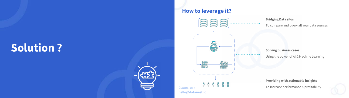# **Solution ?**



# **How to leverage it?**

#### **Bridging Data silos**

To compare and query all your data sources

#### **Solving business cases**

Using the power of AI & Machine Learning

#### **Providing with actionable insights**





**hello@datanest.io**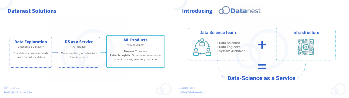### **Datanest Solutions**



#### *Contact us :* **hello@datanest.io**







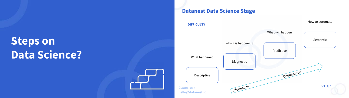# **Steps on Data Science?**



## **Datanest Data Science Stage**

Descriptive

What happened



**DIFFICULTY**

How to automate

*Contact us :* **hello@datanest.io**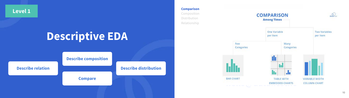# **Descriptive EDA**

**Level 1**



#### **Describe relation Describe distribution**

**Compare**



**Comparison**

Composition Distribution Relationship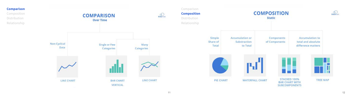

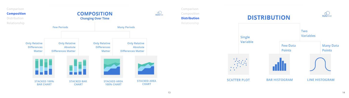



Comparison Composition **Distribution** Relationship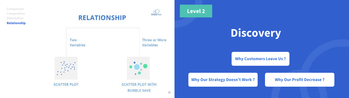15

**Comparison** Composition **Distribution Relationship**









**Three or More** Two Variables Variables  $1.4.1$  $\bullet$ **heliocenerists heliocenerists heliocenerists heliocenerists heliocenerists heliocenerists heliocenerists heliocenerists heliocenerists heliocenerists heliocenerists heliocenerists heliocenerists BUBBLE SAVE** 

### **Why Customers Leave Us ?**

### **Why Our Strategy Doesn't Work ? Why Our Profit Decrease ?**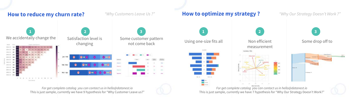## **How to reduce my churn rate?**



This is just sample, currently we have 9 hypothesis for "Why Customer Leave us?" *For get complete catalog you can contact us in hello@datanest.io*

*"Why Customers Leave Us ?"*



**1**

This is just sample, currently we have 7 hypothesis for "Why Our Strategy Doesn't Work?" *For get complete catalog you can contact us in hello@datanest.io*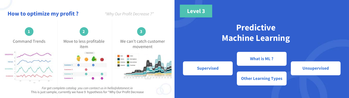

This is just sample, currently we have 9 hypothesis for "Why Our Profit Decrease *For get complete catalog you can contact us in hello@datanest.io*

# **Predictive Machine Learning**

**Level 3**



### **Supervised Unsupervised**

### **Other Learning Types**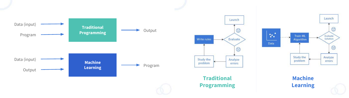



# **Machine Learning**

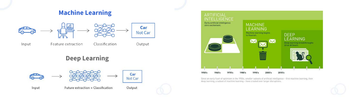# **Machine Learning**





Since an early flush of optimism in the 1950s, smaller subsets of artificial intelligence - first machine learning, then deep learning, a subset of machine learning - have created ever larger disruptions.

Future extraction + Classification

Input

Output

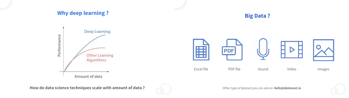





**How do data science techniques scale with amount of data ?**



## **Big Data ?**



*Other type of dataset you can ask on hello@datanest.io*

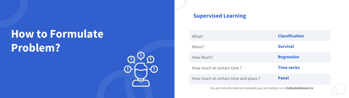# **How to Formulate Problem?**



| <b>Supervise</b> |
|------------------|
| What?            |
| When?            |
| How Much?        |
| How much at o    |
| How much at o    |

# **Rupervised Learning**

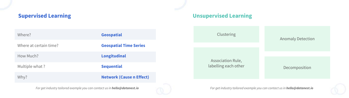# **Supervised Learning**

| <b>Geospatial</b><br><b>Geospatial Time Series</b><br><b>Longitudinal</b><br><b>Sequential</b><br><b>Network (Cause n Effect)</b> |                        |  |
|-----------------------------------------------------------------------------------------------------------------------------------|------------------------|--|
|                                                                                                                                   | Where?                 |  |
|                                                                                                                                   | Where at certain time? |  |
|                                                                                                                                   | How Much?              |  |
|                                                                                                                                   | Multiple what?         |  |
|                                                                                                                                   | Why?                   |  |

*For get industry tailored example you can contact us in hello@datanest.io*







*For get industry tailored example you can contact us in hello@datanest.io*

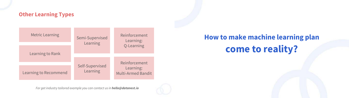# **Other Learning Types**

| <b>Metric Learning</b> | Semi-Supervised<br>Learning | Reinforcement<br>Learning:<br>Q-Learning |
|------------------------|-----------------------------|------------------------------------------|
| Learning to Rank       |                             |                                          |
|                        | Self-Supervised<br>Learning | Reinforcement                            |
| Learning to Recommend  |                             | Learning:<br><b>Multi-Armed Bandit</b>   |



*For get industry tailored example you can contact us in hello@datanest.io*



# **How to make machine learning plan come to reality?**